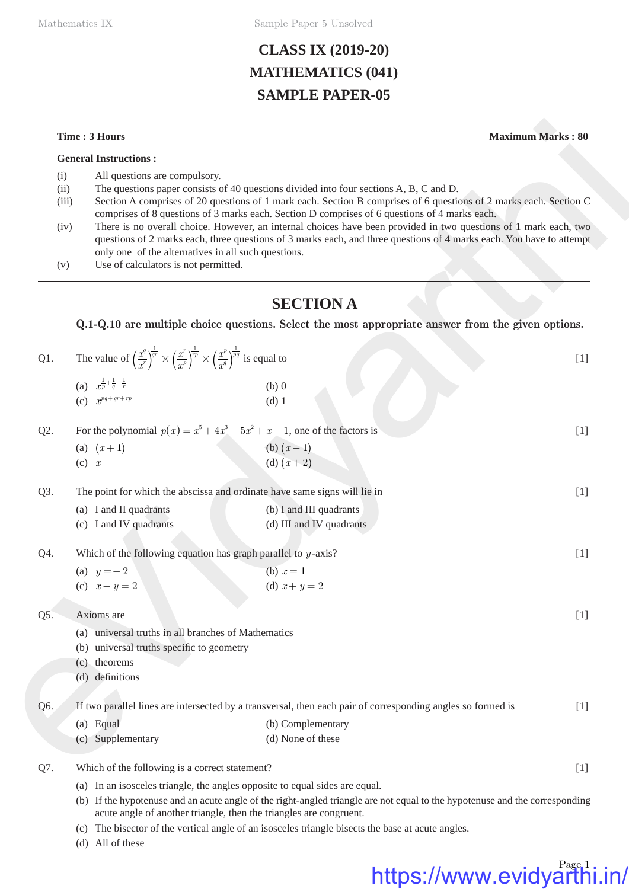Mathematics IX Sample Paper 5 Unsolved

# **CLASS IX (2019-20) MATHEMATICS (041) SAMPLE PAPER-05**

### **General Instructions :**

- (i) All questions are compulsory.
- (ii) The questions paper consists of 40 questions divided into four sections A, B, C and D.
- (iii) Section A comprises of 20 questions of 1 mark each. Section B comprises of 6 questions of 2 marks each. Section C comprises of 8 questions of 3 marks each. Section D comprises of 6 questions of 4 marks each.
- (iv) There is no overall choice. However, an internal choices have been provided in two questions of 1 mark each, two questions of 2 marks each, three questions of 3 marks each, and three questions of 4 marks each. You have to attempt only one of the alternatives in all such questions.
- (v) Use of calculators is not permitted.

## **SECTION A**

|                                     | Time: 3 Hours                                                                                                                                                                | <b>Maximum Marks: 80</b>                                                                                                                                                                                                                                                                                                                                                                                                                                                                                                                                 |       |  |  |  |  |  |  |
|-------------------------------------|------------------------------------------------------------------------------------------------------------------------------------------------------------------------------|----------------------------------------------------------------------------------------------------------------------------------------------------------------------------------------------------------------------------------------------------------------------------------------------------------------------------------------------------------------------------------------------------------------------------------------------------------------------------------------------------------------------------------------------------------|-------|--|--|--|--|--|--|
|                                     | <b>General Instructions:</b>                                                                                                                                                 |                                                                                                                                                                                                                                                                                                                                                                                                                                                                                                                                                          |       |  |  |  |  |  |  |
| (i)<br>(ii)<br>(iii)<br>(iv)<br>(v) | All questions are compulsory.<br>only one of the alternatives in all such questions.<br>Use of calculators is not permitted.                                                 | The questions paper consists of 40 questions divided into four sections A, B, C and D.<br>Section A comprises of 20 questions of 1 mark each. Section B comprises of 6 questions of 2 marks each. Section C<br>comprises of 8 questions of 3 marks each. Section D comprises of 6 questions of 4 marks each.<br>There is no overall choice. However, an internal choices have been provided in two questions of 1 mark each, two<br>questions of 2 marks each, three questions of 3 marks each, and three questions of 4 marks each. You have to attempt |       |  |  |  |  |  |  |
|                                     |                                                                                                                                                                              |                                                                                                                                                                                                                                                                                                                                                                                                                                                                                                                                                          |       |  |  |  |  |  |  |
|                                     |                                                                                                                                                                              | <b>SECTION A</b>                                                                                                                                                                                                                                                                                                                                                                                                                                                                                                                                         |       |  |  |  |  |  |  |
|                                     |                                                                                                                                                                              | Q.1-Q.10 are multiple choice questions. Select the most appropriate answer from the given options.                                                                                                                                                                                                                                                                                                                                                                                                                                                       |       |  |  |  |  |  |  |
| Q1.                                 | The value of $\left(\frac{x^q}{x^r}\right)^{\frac{1}{qr}} \times \left(\frac{x^r}{x^p}\right)^{\frac{1}{rp}} \times \left(\frac{x^p}{x^q}\right)^{\frac{1}{pq}}$ is equal to |                                                                                                                                                                                                                                                                                                                                                                                                                                                                                                                                                          | $[1]$ |  |  |  |  |  |  |
|                                     | (a) $x^{\frac{1}{p} + \frac{1}{q} + \frac{1}{r}}$                                                                                                                            | $(b)$ 0                                                                                                                                                                                                                                                                                                                                                                                                                                                                                                                                                  |       |  |  |  |  |  |  |
|                                     | (c) $x^{pq+qr+rp}$                                                                                                                                                           | $(d)$ 1                                                                                                                                                                                                                                                                                                                                                                                                                                                                                                                                                  |       |  |  |  |  |  |  |
| Q2.                                 |                                                                                                                                                                              | For the polynomial $p(x) = x^5 + 4x^3 - 5x^2 + x - 1$ , one of the factors is                                                                                                                                                                                                                                                                                                                                                                                                                                                                            | $[1]$ |  |  |  |  |  |  |
|                                     | (a) $(x+1)$                                                                                                                                                                  | (b) $(x-1)$<br>(d) $(x+2)$                                                                                                                                                                                                                                                                                                                                                                                                                                                                                                                               |       |  |  |  |  |  |  |
|                                     | $(c)$ x                                                                                                                                                                      |                                                                                                                                                                                                                                                                                                                                                                                                                                                                                                                                                          |       |  |  |  |  |  |  |
| Q3.                                 |                                                                                                                                                                              | The point for which the abscissa and ordinate have same signs will lie in                                                                                                                                                                                                                                                                                                                                                                                                                                                                                | $[1]$ |  |  |  |  |  |  |
|                                     | (a) I and II quadrants                                                                                                                                                       | (b) I and III quadrants                                                                                                                                                                                                                                                                                                                                                                                                                                                                                                                                  |       |  |  |  |  |  |  |
|                                     | (c) I and IV quadrants                                                                                                                                                       | (d) III and IV quadrants                                                                                                                                                                                                                                                                                                                                                                                                                                                                                                                                 |       |  |  |  |  |  |  |
| Q4.                                 | Which of the following equation has graph parallel to $y$ -axis?                                                                                                             |                                                                                                                                                                                                                                                                                                                                                                                                                                                                                                                                                          | $[1]$ |  |  |  |  |  |  |
|                                     | (a) $y = -2$                                                                                                                                                                 | (b) $x = 1$                                                                                                                                                                                                                                                                                                                                                                                                                                                                                                                                              |       |  |  |  |  |  |  |
|                                     | (c) $x - y = 2$                                                                                                                                                              | (d) $x + y = 2$                                                                                                                                                                                                                                                                                                                                                                                                                                                                                                                                          |       |  |  |  |  |  |  |
| Q5.                                 | Axioms are                                                                                                                                                                   |                                                                                                                                                                                                                                                                                                                                                                                                                                                                                                                                                          | $[1]$ |  |  |  |  |  |  |
|                                     | universal truths in all branches of Mathematics<br>(a)                                                                                                                       |                                                                                                                                                                                                                                                                                                                                                                                                                                                                                                                                                          |       |  |  |  |  |  |  |
|                                     | universal truths specific to geometry<br>(b)                                                                                                                                 |                                                                                                                                                                                                                                                                                                                                                                                                                                                                                                                                                          |       |  |  |  |  |  |  |
|                                     | (c) theorems                                                                                                                                                                 |                                                                                                                                                                                                                                                                                                                                                                                                                                                                                                                                                          |       |  |  |  |  |  |  |
|                                     | (d) definitions                                                                                                                                                              |                                                                                                                                                                                                                                                                                                                                                                                                                                                                                                                                                          |       |  |  |  |  |  |  |
| Q6.                                 | If two parallel lines are intersected by a transversal, then each pair of corresponding angles so formed is                                                                  |                                                                                                                                                                                                                                                                                                                                                                                                                                                                                                                                                          |       |  |  |  |  |  |  |
|                                     | (a) Equal                                                                                                                                                                    | (b) Complementary                                                                                                                                                                                                                                                                                                                                                                                                                                                                                                                                        |       |  |  |  |  |  |  |
|                                     | (c) Supplementary                                                                                                                                                            | (d) None of these                                                                                                                                                                                                                                                                                                                                                                                                                                                                                                                                        |       |  |  |  |  |  |  |
| Q7.                                 | Which of the following is a correct statement?<br>$[1]$                                                                                                                      |                                                                                                                                                                                                                                                                                                                                                                                                                                                                                                                                                          |       |  |  |  |  |  |  |
|                                     | (a) In an isosceles triangle, the angles opposite to equal sides are equal.                                                                                                  |                                                                                                                                                                                                                                                                                                                                                                                                                                                                                                                                                          |       |  |  |  |  |  |  |
|                                     | (b) If the hypotenuse and an acute angle of the right-angled triangle are not equal to the hypotenuse and the corresponding                                                  |                                                                                                                                                                                                                                                                                                                                                                                                                                                                                                                                                          |       |  |  |  |  |  |  |

acute angle of another triangle, then the triangles are congruent.

- (c) The bisector of the vertical angle of an isosceles triangle bisects the base at acute angles.
- (d) All of these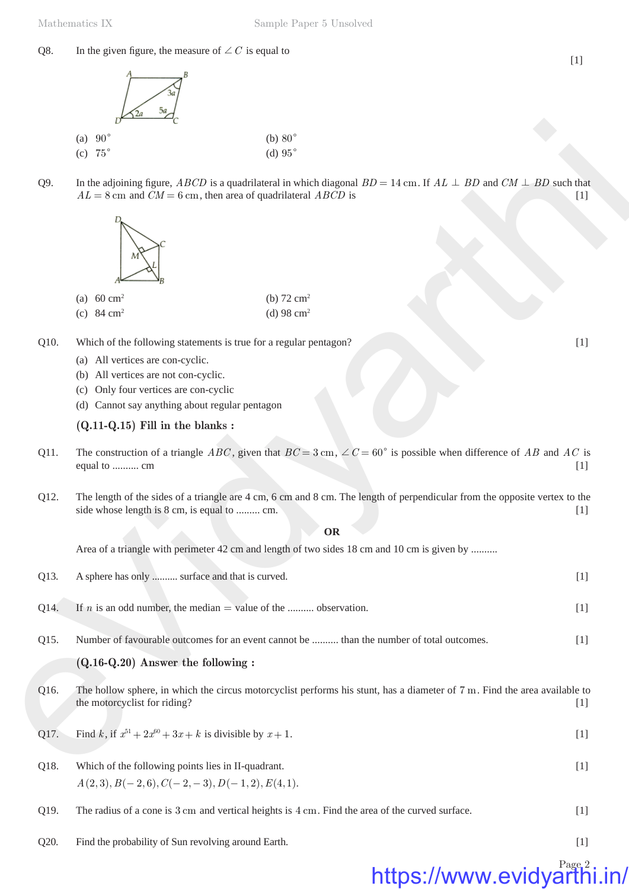### Q8. In the given figure, the measure of  $\angle C$  is equal to





- Q10. Which of the following statements is true for a regular pentagon? [1]
	- (a) All vertices are con-cyclic.
	- (b) All vertices are not con-cyclic.
	- (c) Only four vertices are con-cyclic
	- (d) Cannot say anything about regular pentagon

### **(Q.11-Q.15) Fill in the blanks :**

- Q11. The construction of a triangle *ABC*, given that  $BC = 3$  cm,  $\angle C = 60^{\circ}$  is possible when difference of *AB* and *AC* is equal to .......... cm [1]
- Q12. The length of the sides of a triangle are 4 cm, 6 cm and 8 cm. The length of perpendicular from the opposite vertex to the side whose length is 8 cm, is equal to ......... cm. [1]

### **OR**

|      | (a) $90^\circ$                                                                                                                                                                                                   | (b) $80^\circ$                                                                                                             |       |  |  |  |  |  |  |
|------|------------------------------------------------------------------------------------------------------------------------------------------------------------------------------------------------------------------|----------------------------------------------------------------------------------------------------------------------------|-------|--|--|--|--|--|--|
|      | (c) $75^\circ$                                                                                                                                                                                                   | (d) $95^\circ$                                                                                                             |       |  |  |  |  |  |  |
| Q9.  | In the adjoining figure, <i>ABCD</i> is a quadrilateral in which diagonal $BD = 14$ cm. If $AL \perp BD$ and $CM \perp BD$ such that<br>$AL = 8$ cm and $CM = 6$ cm, then area of quadrilateral ABCD is<br>$[1]$ |                                                                                                                            |       |  |  |  |  |  |  |
|      |                                                                                                                                                                                                                  |                                                                                                                            |       |  |  |  |  |  |  |
|      | (a) $60 \text{ cm}^2$                                                                                                                                                                                            | (b) $72 \text{ cm}^2$                                                                                                      |       |  |  |  |  |  |  |
|      | (c) $84 \text{ cm}^2$                                                                                                                                                                                            | (d) 98 $cm2$                                                                                                               |       |  |  |  |  |  |  |
| Q10. | Which of the following statements is true for a regular pentagon?                                                                                                                                                |                                                                                                                            | $[1]$ |  |  |  |  |  |  |
|      | (a) All vertices are con-cyclic.                                                                                                                                                                                 |                                                                                                                            |       |  |  |  |  |  |  |
|      | (b) All vertices are not con-cyclic.                                                                                                                                                                             |                                                                                                                            |       |  |  |  |  |  |  |
|      | Only four vertices are con-cyclic<br>(c)<br>(d) Cannot say anything about regular pentagon                                                                                                                       |                                                                                                                            |       |  |  |  |  |  |  |
|      | $(Q.11-Q.15)$ Fill in the blanks:                                                                                                                                                                                |                                                                                                                            |       |  |  |  |  |  |  |
| Q11. | The construction of a triangle ABC, given that $BC = 3$ cm, $\angle C = 60^{\circ}$ is possible when difference of AB and AC is<br>equal to  cm<br>$[1]$                                                         |                                                                                                                            |       |  |  |  |  |  |  |
| Q12. | side whose length is 8 cm, is equal to  cm.                                                                                                                                                                      | The length of the sides of a triangle are 4 cm, 6 cm and 8 cm. The length of perpendicular from the opposite vertex to the | $[1]$ |  |  |  |  |  |  |
|      |                                                                                                                                                                                                                  | <b>OR</b>                                                                                                                  |       |  |  |  |  |  |  |
|      |                                                                                                                                                                                                                  | Area of a triangle with perimeter 42 cm and length of two sides 18 cm and 10 cm is given by                                |       |  |  |  |  |  |  |
| Q13. | A sphere has only  surface and that is curved.                                                                                                                                                                   |                                                                                                                            | $[1]$ |  |  |  |  |  |  |
| Q14. | If <i>n</i> is an odd number, the median = value of the  observation.                                                                                                                                            |                                                                                                                            | $[1]$ |  |  |  |  |  |  |
| Q15. |                                                                                                                                                                                                                  | Number of favourable outcomes for an event cannot be  than the number of total outcomes.                                   | $[1]$ |  |  |  |  |  |  |
|      | $(Q.16-Q.20)$ Answer the following :                                                                                                                                                                             |                                                                                                                            |       |  |  |  |  |  |  |
| Q16. | the motorcyclist for riding?                                                                                                                                                                                     | The hollow sphere, in which the circus motorcyclist performs his stunt, has a diameter of 7 m. Find the area available to  | $[1]$ |  |  |  |  |  |  |
| Q17. | Find k, if $x^{51} + 2x^{60} + 3x + k$ is divisible by $x + 1$ .                                                                                                                                                 |                                                                                                                            | $[1]$ |  |  |  |  |  |  |
|      |                                                                                                                                                                                                                  |                                                                                                                            |       |  |  |  |  |  |  |
| Q18. | Which of the following points lies in II-quadrant.                                                                                                                                                               |                                                                                                                            | $[1]$ |  |  |  |  |  |  |
|      | $A(2,3), B(-2,6), C(-2,-3), D(-1,2), E(4,1).$                                                                                                                                                                    |                                                                                                                            |       |  |  |  |  |  |  |
| Q19. |                                                                                                                                                                                                                  | The radius of a cone is 3 cm and vertical heights is 4 cm. Find the area of the curved surface.                            | $[1]$ |  |  |  |  |  |  |
| Q20. | Find the probability of Sun revolving around Earth.                                                                                                                                                              |                                                                                                                            | $[1]$ |  |  |  |  |  |  |

## Page<sub>2</sub> https://www.evidyarthi

[1]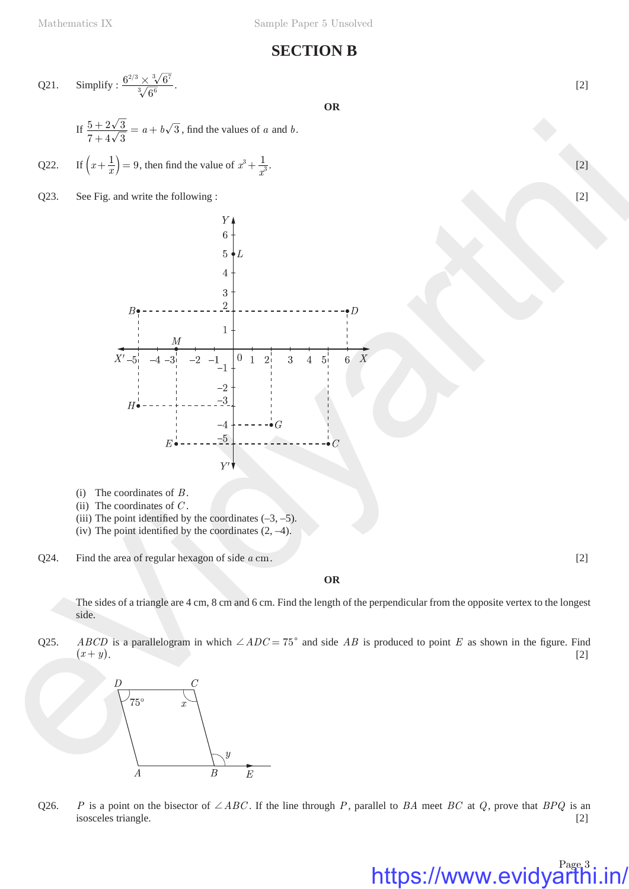## **SECTION B**

Q21. Simplify: 
$$
\frac{6^{2/3} \times \sqrt[3]{6^7}}{\sqrt[3]{6^6}}
$$
.

**OR**

- If  $\frac{5+2\sqrt{3}}{7+4\sqrt{3}} = a + b\sqrt{3}$ , find the values of *a* and *b*.
- Q22. If  $\left(x + \frac{1}{x}\right) = 9$ , then find the value of  $x^3 + \frac{1}{x}$  $x^3 + \frac{1}{x^3}$ . [2]
- Q23. See Fig. and write the following : [2]



- (i) The coordinates of *B* .
- (ii) The coordinates of *C* .
- (iii) The point identified by the coordinates  $(-3, -5)$ .
- (iv) The point identified by the coordinates  $(2, -4)$ .
- Q24. Find the area of regular hexagon of side *a* cm. [2]

**OR**

The sides of a triangle are 4 cm, 8 cm and 6 cm. Find the length of the perpendicular from the opposite vertex to the longest side.

Q25. *ABCD* is a parallelogram in which  $\angle ADC = 75^{\circ}$  and side *AB* is produced to point *E* as shown in the figure. Find  $(x + y)$ . [2]



Q26. *P* is a point on the bisector of  $\angle ABC$ . If the line through *P*, parallel to *BA* meet *BC* at *Q*, prove that *BPQ* is an isosceles triangle. [2]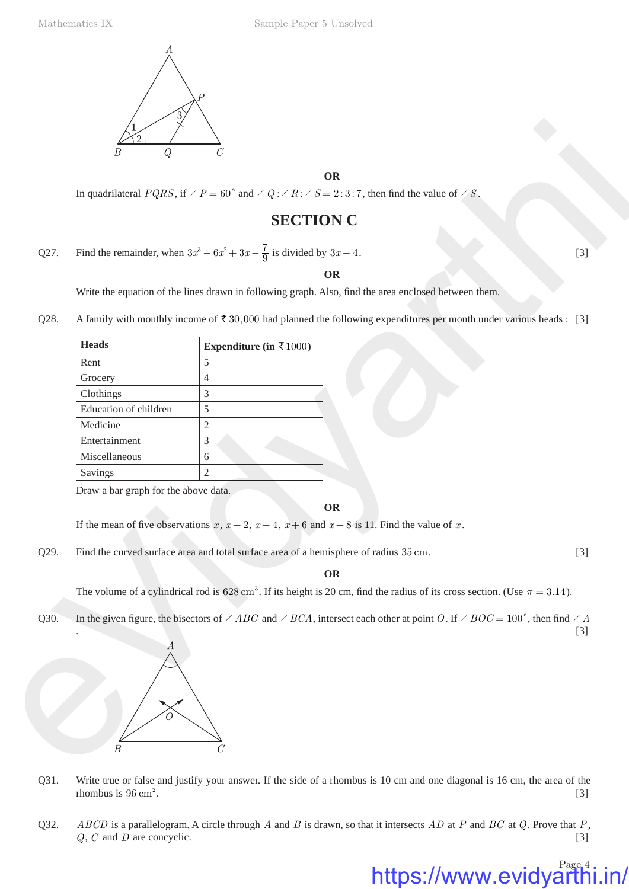

# **SECTION C**

|      |                                      | In quadrilateral $PQRS$ , if $\angle P = 60^{\circ}$ and $\angle Q$ : $\angle R$ : $\angle S = 2$ : 3:7, then find the value of $\angle S$ .                |       |
|------|--------------------------------------|-------------------------------------------------------------------------------------------------------------------------------------------------------------|-------|
|      |                                      | <b>SECTION C</b>                                                                                                                                            |       |
| Q27. |                                      | Find the remainder, when $3x^3 - 6x^2 + 3x - \frac{7}{9}$ is divided by $3x - 4$ .                                                                          | $[3]$ |
|      |                                      | <b>OR</b>                                                                                                                                                   |       |
|      |                                      | Write the equation of the lines drawn in following graph. Also, find the area enclosed between them.                                                        |       |
| Q28. |                                      | A family with monthly income of $\bar{\tau}$ 30,000 had planned the following expenditures per month under various heads : [3]                              |       |
|      | <b>Heads</b>                         | Expenditure (in $\bar{\tau}$ 1000)                                                                                                                          |       |
|      | Rent                                 | $\mathfrak s$                                                                                                                                               |       |
|      | Grocery                              | 4                                                                                                                                                           |       |
|      | Clothings                            | 3                                                                                                                                                           |       |
|      | Education of children                | 5                                                                                                                                                           |       |
|      | Medicine                             | $\overline{c}$                                                                                                                                              |       |
|      | Entertainment                        | 3                                                                                                                                                           |       |
|      | Miscellaneous                        | 6                                                                                                                                                           |       |
|      | Savings                              | $\mathbf{2}$                                                                                                                                                |       |
|      | Draw a bar graph for the above data. |                                                                                                                                                             |       |
|      |                                      | <b>OR</b>                                                                                                                                                   |       |
|      |                                      | If the mean of five observations x, $x + 2$ , $x + 4$ , $x + 6$ and $x + 8$ is 11. Find the value of x.                                                     |       |
|      |                                      |                                                                                                                                                             |       |
| Q29. |                                      | Find the curved surface area and total surface area of a hemisphere of radius 35 cm.                                                                        | $[3]$ |
|      |                                      | <b>OR</b>                                                                                                                                                   |       |
|      |                                      | The volume of a cylindrical rod is 628 cm <sup>3</sup> . If its height is 20 cm, find the radius of its cross section. (Use $\pi = 3.14$ ).                 |       |
| Q30. |                                      | In the given figure, the bisectors of $\angle ABC$ and $\angle BCA$ , intersect each other at point O. If $\angle BOC = 100^{\circ}$ , then find $\angle A$ | $[3]$ |
|      | $\boldsymbol{A}$                     |                                                                                                                                                             |       |

### **OR**

- Q31. Write true or false and justify your answer. If the side of a rhombus is 10 cm and one diagonal is 16 cm, the area of the rhombus is  $96 \text{ cm}^2$ . .  $[3]$
- Q32. *ABCD* is a parallelogram. A circle through *A* and *B* is drawn, so that it intersects *AD* at *P* and *BC* at *Q*. Prove that *P*, *Q*, *C* and *D* are concyclic. [3]